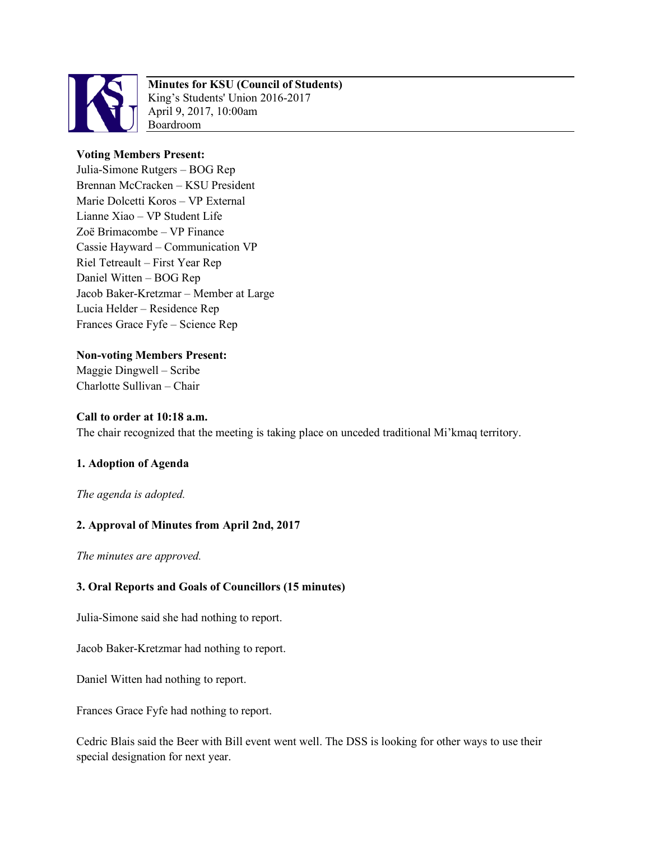

# **Minutes for KSU (Council of Students)**

King's Students' Union 2016-2017 April 9, 2017, 10:00am Boardroom

#### **Voting Members Present:**

Julia-Simone Rutgers – BOG Rep Brennan McCracken – KSU President Marie Dolcetti Koros – VP External Lianne Xiao – VP Student Life Zoë Brimacombe – VP Finance Cassie Hayward – Communication VP Riel Tetreault – First Year Rep Daniel Witten – BOG Rep Jacob Baker-Kretzmar – Member at Large Lucia Helder – Residence Rep Frances Grace Fyfe – Science Rep

**Non-voting Members Present:** Maggie Dingwell – Scribe Charlotte Sullivan – Chair

#### **Call to order at 10:18 a.m.**

The chair recognized that the meeting is taking place on unceded traditional Mi'kmaq territory.

#### **1. Adoption of Agenda**

*The agenda is adopted.* 

#### **2. Approval of Minutes from April 2nd, 2017**

*The minutes are approved.* 

### **3. Oral Reports and Goals of Councillors (15 minutes)**

Julia-Simone said she had nothing to report.

Jacob Baker-Kretzmar had nothing to report.

Daniel Witten had nothing to report.

Frances Grace Fyfe had nothing to report.

Cedric Blais said the Beer with Bill event went well. The DSS is looking for other ways to use their special designation for next year.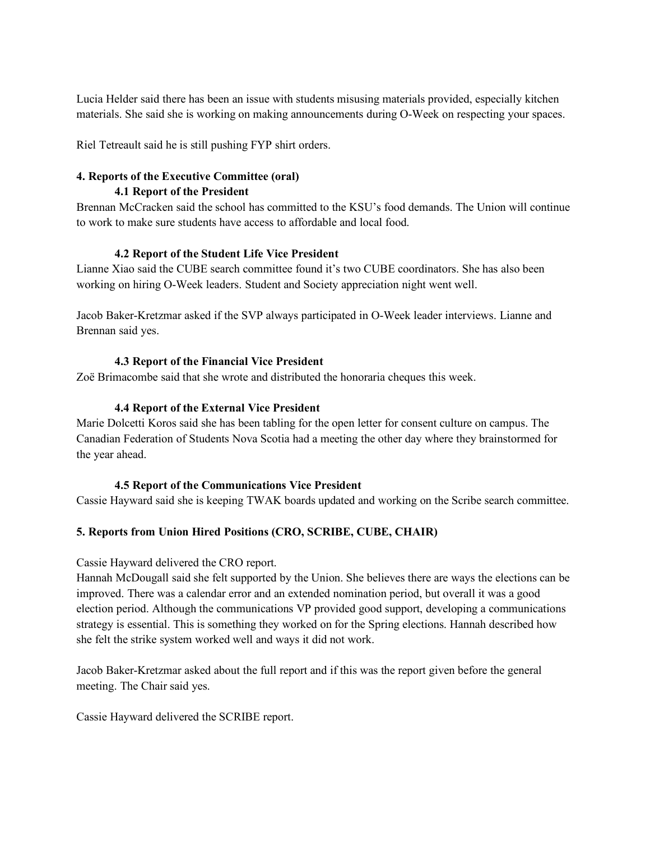Lucia Helder said there has been an issue with students misusing materials provided, especially kitchen materials. She said she is working on making announcements during O-Week on respecting your spaces.

Riel Tetreault said he is still pushing FYP shirt orders.

#### **4. Reports of the Executive Committee (oral) 4.1 Report of the President**

Brennan McCracken said the school has committed to the KSU's food demands. The Union will continue to work to make sure students have access to affordable and local food.

#### **4.2 Report of the Student Life Vice President**

Lianne Xiao said the CUBE search committee found it's two CUBE coordinators. She has also been working on hiring O-Week leaders. Student and Society appreciation night went well.

Jacob Baker-Kretzmar asked if the SVP always participated in O-Week leader interviews. Lianne and Brennan said yes.

#### **4.3 Report of the Financial Vice President**

Zoë Brimacombe said that she wrote and distributed the honoraria cheques this week.

#### **4.4 Report of the External Vice President**

Marie Dolcetti Koros said she has been tabling for the open letter for consent culture on campus. The Canadian Federation of Students Nova Scotia had a meeting the other day where they brainstormed for the year ahead.

#### **4.5 Report of the Communications Vice President**

Cassie Hayward said she is keeping TWAK boards updated and working on the Scribe search committee.

#### **5. Reports from Union Hired Positions (CRO, SCRIBE, CUBE, CHAIR)**

Cassie Hayward delivered the CRO report.

Hannah McDougall said she felt supported by the Union. She believes there are ways the elections can be improved. There was a calendar error and an extended nomination period, but overall it was a good election period. Although the communications VP provided good support, developing a communications strategy is essential. This is something they worked on for the Spring elections. Hannah described how she felt the strike system worked well and ways it did not work.

Jacob Baker-Kretzmar asked about the full report and if this was the report given before the general meeting. The Chair said yes.

Cassie Hayward delivered the SCRIBE report.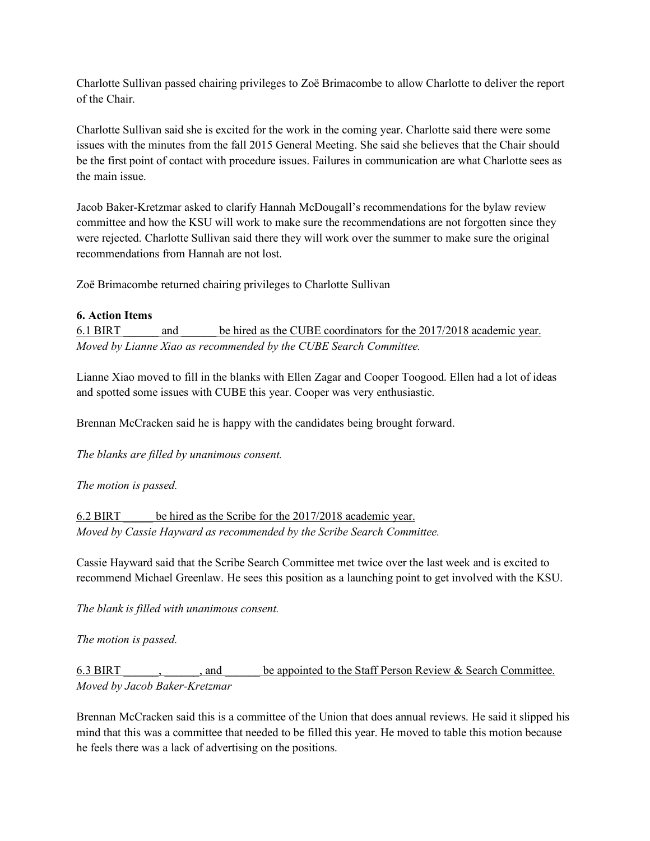Charlotte Sullivan passed chairing privileges to Zoë Brimacombe to allow Charlotte to deliver the report of the Chair.

Charlotte Sullivan said she is excited for the work in the coming year. Charlotte said there were some issues with the minutes from the fall 2015 General Meeting. She said she believes that the Chair should be the first point of contact with procedure issues. Failures in communication are what Charlotte sees as the main issue.

Jacob Baker-Kretzmar asked to clarify Hannah McDougall's recommendations for the bylaw review committee and how the KSU will work to make sure the recommendations are not forgotten since they were rejected. Charlotte Sullivan said there they will work over the summer to make sure the original recommendations from Hannah are not lost.

Zoë Brimacombe returned chairing privileges to Charlotte Sullivan

#### **6. Action Items**

6.1 BIRT \_\_\_\_\_\_ and \_\_\_\_\_\_ be hired as the CUBE coordinators for the 2017/2018 academic year. *Moved by Lianne Xiao as recommended by the CUBE Search Committee.* 

Lianne Xiao moved to fill in the blanks with Ellen Zagar and Cooper Toogood. Ellen had a lot of ideas and spotted some issues with CUBE this year. Cooper was very enthusiastic.

Brennan McCracken said he is happy with the candidates being brought forward.

*The blanks are filled by unanimous consent.* 

#### *The motion is passed.*

6.2 BIRT \_\_\_\_\_ be hired as the Scribe for the 2017/2018 academic year. *Moved by Cassie Hayward as recommended by the Scribe Search Committee.* 

Cassie Hayward said that the Scribe Search Committee met twice over the last week and is excited to recommend Michael Greenlaw. He sees this position as a launching point to get involved with the KSU.

*The blank is filled with unanimous consent.* 

*The motion is passed.*

6.3 BIRT  $\ldots$ , and be appointed to the Staff Person Review & Search Committee. *Moved by Jacob Baker-Kretzmar*

Brennan McCracken said this is a committee of the Union that does annual reviews. He said it slipped his mind that this was a committee that needed to be filled this year. He moved to table this motion because he feels there was a lack of advertising on the positions.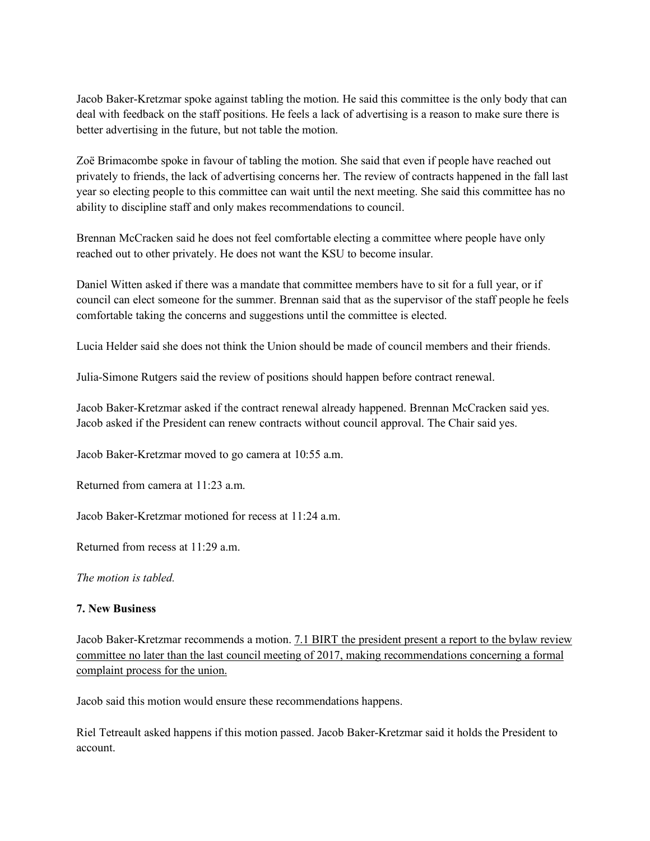Jacob Baker-Kretzmar spoke against tabling the motion. He said this committee is the only body that can deal with feedback on the staff positions. He feels a lack of advertising is a reason to make sure there is better advertising in the future, but not table the motion.

Zoë Brimacombe spoke in favour of tabling the motion. She said that even if people have reached out privately to friends, the lack of advertising concerns her. The review of contracts happened in the fall last year so electing people to this committee can wait until the next meeting. She said this committee has no ability to discipline staff and only makes recommendations to council.

Brennan McCracken said he does not feel comfortable electing a committee where people have only reached out to other privately. He does not want the KSU to become insular.

Daniel Witten asked if there was a mandate that committee members have to sit for a full year, or if council can elect someone for the summer. Brennan said that as the supervisor of the staff people he feels comfortable taking the concerns and suggestions until the committee is elected.

Lucia Helder said she does not think the Union should be made of council members and their friends.

Julia-Simone Rutgers said the review of positions should happen before contract renewal.

Jacob Baker-Kretzmar asked if the contract renewal already happened. Brennan McCracken said yes. Jacob asked if the President can renew contracts without council approval. The Chair said yes.

Jacob Baker-Kretzmar moved to go camera at 10:55 a.m.

Returned from camera at 11:23 a.m.

Jacob Baker-Kretzmar motioned for recess at  $11:24$  a.m.

Returned from recess at 11:29 a.m.

*The motion is tabled.* 

#### **7. New Business**

Jacob Baker-Kretzmar recommends a motion. 7.1 BIRT the president present a report to the bylaw review committee no later than the last council meeting of 2017, making recommendations concerning a formal complaint process for the union.

Jacob said this motion would ensure these recommendations happens.

Riel Tetreault asked happens if this motion passed. Jacob Baker-Kretzmar said it holds the President to account.